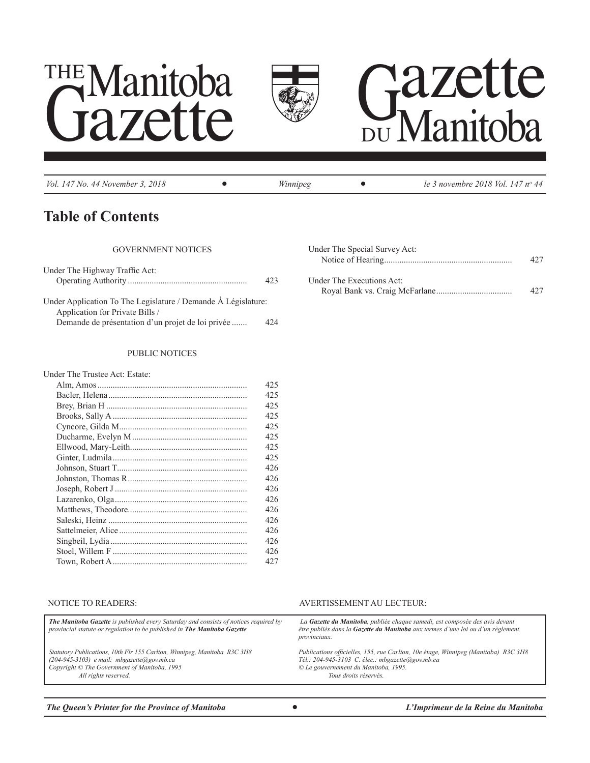# **Manitoba** THE Manitoba <del>Ga</del>zette<br>Gazette <sup>Gazette</sup>



# azette DU

*Vol. 147 No. 44 November 3, 2018* ● *Winnipeg* ● *Winnipeg* ● *Winnipeg* ● *legal ●* 

le 3 novembre 2018 Vol. 147 nº 44

## **Table of Contents**

#### GOVERNMENT NOTICES

| Under The Highway Traffic Act:                                | 423 |
|---------------------------------------------------------------|-----|
| Under Application To The Legislature / Demande À Législature: |     |
| Application for Private Bills /                               |     |
| Demande de présentation d'un projet de loi privée             | 474 |

#### PUBLIC NOTICES

| Under The Trustee Act: Estate: |     |
|--------------------------------|-----|
|                                | 425 |
|                                | 425 |
|                                | 425 |
|                                | 425 |
|                                | 425 |
|                                | 425 |
|                                | 425 |
|                                | 425 |
|                                | 426 |
|                                | 426 |
|                                | 426 |
|                                | 426 |
|                                | 426 |
|                                | 426 |
|                                | 426 |
|                                | 426 |
|                                | 426 |
|                                | 427 |
|                                |     |

### Under The Special Survey Act: Notice of Hearing........................................................... 427 Under The Executions Act: Royal Bank vs. Craig McFarlane................................... 427

#### NOTICE TO READERS:

*The Manitoba Gazette is published every Saturday and consists of notices required by provincial statute or regulation to be published in The Manitoba Gazette.*

*Statutory Publications, 10th Flr 155 Carlton, Winnipeg, Manitoba R3C 3H8 (204-945-3103) e mail: mbgazette@gov.mb.ca Copyright © The Government of Manitoba, 1995 All rights reserved.*

#### AVERTISSEMENT AU LECTEUR:

*La Gazette du Manitoba, publiée chaque samedi, est composée des avis devant être publiés dans la Gazette du Manitoba aux termes d'une loi ou d'un règlement provinciaux.*

*Publications officielles, 155, rue Carlton, 10e étage, Winnipeg (Manitoba) R3C 3H8 Tél.: 204-945-3103 C. élec.: mbgazette@gov.mb.ca © Le gouvernement du Manitoba, 1995. Tous droits réservés.*

#### *The Queen's Printer for the Province of Manitoba* ● *L'Imprimeur de la Reine du Manitoba*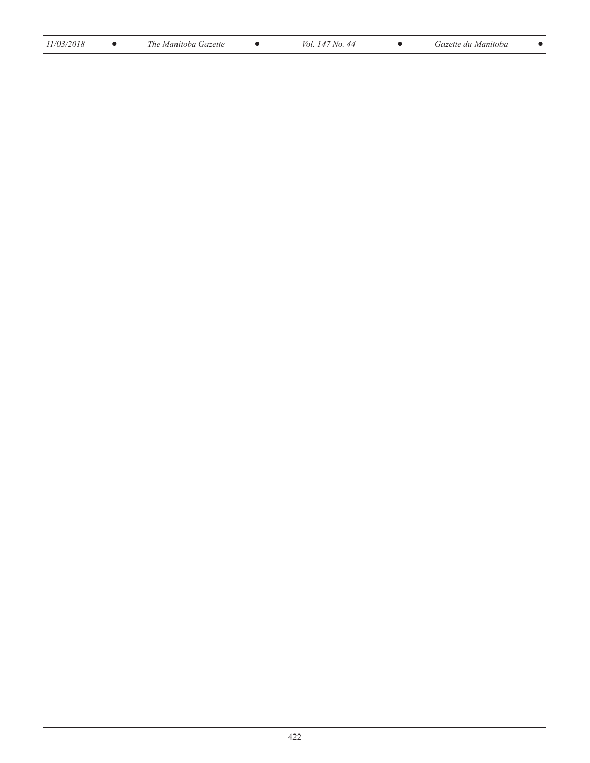| 11/03/2018 | The Manitoba Gazette | <i>Vol.</i> 147 No. 44 | Gazette du Manitoba |  |
|------------|----------------------|------------------------|---------------------|--|
|            |                      |                        |                     |  |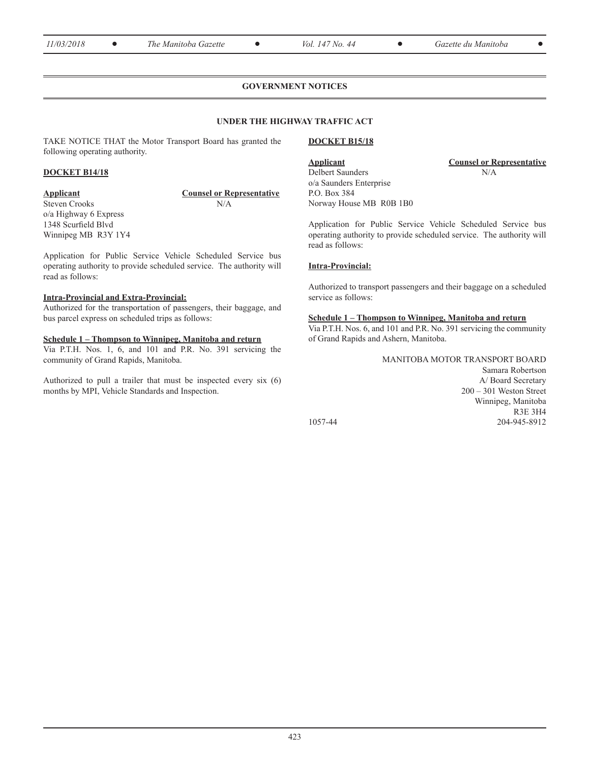| 11/03/2018 | The Manitoba Gazette | Vol.<br>No. 44<br>14' | Gazette du Manitoba |  |
|------------|----------------------|-----------------------|---------------------|--|
|            |                      |                       |                     |  |

#### **GOVERNMENT NOTICES**

#### **UNDER THE HIGHWAY TRAFFIC ACT**

TAKE NOTICE THAT the Motor Transport Board has granted the following operating authority.

#### **DOCKET B14/18**

Steven Crooks N/A o/a Highway 6 Express 1348 Scurfield Blvd Winnipeg MB R3Y 1Y4

**Applicant Counsel or Representative** 

Application for Public Service Vehicle Scheduled Service bus operating authority to provide scheduled service. The authority will read as follows:

#### **Intra-Provincial and Extra-Provincial:**

Authorized for the transportation of passengers, their baggage, and bus parcel express on scheduled trips as follows:

#### **Schedule 1 – Thompson to Winnipeg, Manitoba and return**

Via P.T.H. Nos. 1, 6, and 101 and P.R. No. 391 servicing the community of Grand Rapids, Manitoba.

Authorized to pull a trailer that must be inspected every six (6) months by MPI, Vehicle Standards and Inspection.

#### **DOCKET B15/18**

Delbert Saunders N/A o/a Saunders Enterprise P.O. Box 384 Norway House MB R0B 1B0

**Applicant Counsel or Representative**

Application for Public Service Vehicle Scheduled Service bus operating authority to provide scheduled service. The authority will read as follows:

#### **Intra-Provincial:**

Authorized to transport passengers and their baggage on a scheduled service as follows:

#### **Schedule 1 – Thompson to Winnipeg, Manitoba and return**

Via P.T.H. Nos. 6, and 101 and P.R. No. 391 servicing the community of Grand Rapids and Ashern, Manitoba.

MANITOBA MOTOR TRANSPORT BOARD Samara Robertson A/ Board Secretary 200 – 301 Weston Street Winnipeg, Manitoba R3E 3H4 1057-44 204-945-8912

423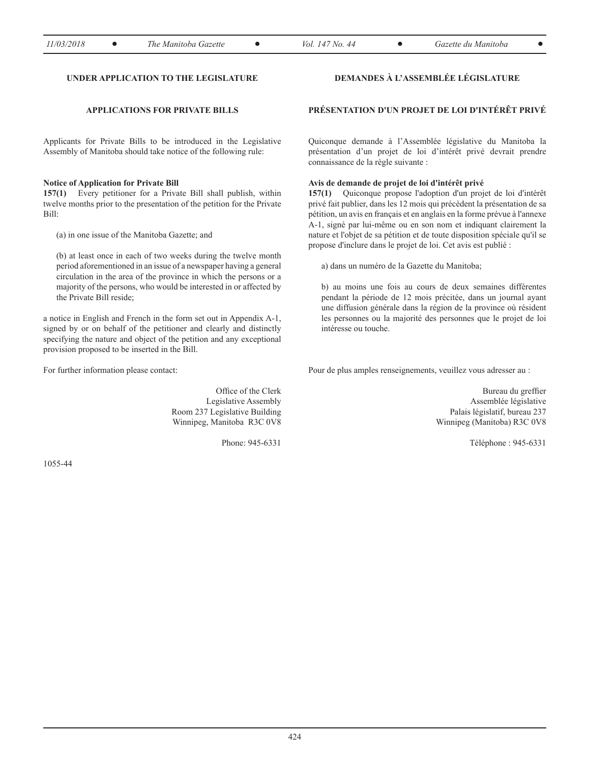#### *11/03/2018* ● *The Manitoba Gazette* ● *Vol. 147 No. 44* ● *Gazette du Manitoba* ●

#### **UNDER APPLICATION TO THE LEGISLATURE**

#### **APPLICATIONS FOR PRIVATE BILLS**

Applicants for Private Bills to be introduced in the Legislative Assembly of Manitoba should take notice of the following rule:

#### **Notice of Application for Private Bill**

**157(1)** Every petitioner for a Private Bill shall publish, within twelve months prior to the presentation of the petition for the Private Bill:

(a) in one issue of the Manitoba Gazette; and

(b) at least once in each of two weeks during the twelve month period aforementioned in an issue of a newspaper having a general circulation in the area of the province in which the persons or a majority of the persons, who would be interested in or affected by the Private Bill reside;

a notice in English and French in the form set out in Appendix A-1, signed by or on behalf of the petitioner and clearly and distinctly specifying the nature and object of the petition and any exceptional provision proposed to be inserted in the Bill.

For further information please contact:

Office of the Clerk Legislative Assembly Room 237 Legislative Building Winnipeg, Manitoba R3C 0V8

Phone: 945-6331

1055-44

### **DEMANDES À L'ASSEMBLÉE LÉGISLATURE**

#### **PRÉSENTATION D'UN PROJET DE LOI D'INTÉRÊT PRIVÉ**

Quiconque demande à l'Assemblée législative du Manitoba la présentation d'un projet de loi d'intérêt privé devrait prendre connaissance de la règle suivante :

#### **Avis de demande de projet de loi d'intérêt privé**

**157(1)** Quiconque propose l'adoption d'un projet de loi d'intérêt privé fait publier, dans les 12 mois qui précèdent la présentation de sa pétition, un avis en français et en anglais en la forme prévue à l'annexe A-1, signé par lui-même ou en son nom et indiquant clairement la nature et l'objet de sa pétition et de toute disposition spéciale qu'il se propose d'inclure dans le projet de loi. Cet avis est publié :

a) dans un numéro de la Gazette du Manitoba;

b) au moins une fois au cours de deux semaines différentes pendant la période de 12 mois précitée, dans un journal ayant une diffusion générale dans la région de la province où résident les personnes ou la majorité des personnes que le projet de loi intéresse ou touche.

Pour de plus amples renseignements, veuillez vous adresser au :

Bureau du greffier Assemblée législative Palais législatif, bureau 237 Winnipeg (Manitoba) R3C 0V8

Téléphone : 945-6331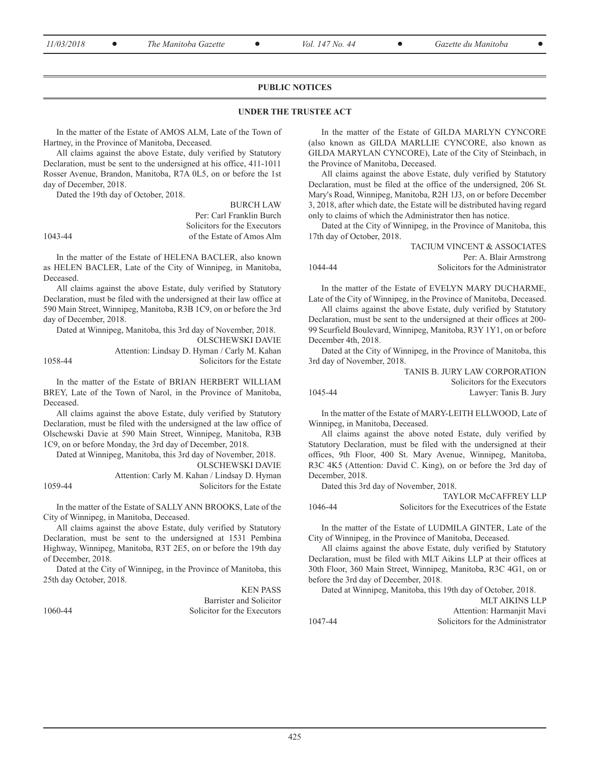| 11/03/2018 | The Manitoba Gazette | <i>Vol.</i> 147 No. 44 | Gazette du Manitoba |  |
|------------|----------------------|------------------------|---------------------|--|
|            |                      |                        |                     |  |

BURCH LAW

Per: Carl Franklin Burch Solicitors for the Executors

#### **PUBLIC NOTICES**

#### **UNDER THE TRUSTEE ACT**

In the matter of the Estate of AMOS ALM, Late of the Town of Hartney, in the Province of Manitoba, Deceased.

All claims against the above Estate, duly verified by Statutory Declaration, must be sent to the undersigned at his office, 411-1011 Rosser Avenue, Brandon, Manitoba, R7A 0L5, on or before the 1st day of December, 2018.

Dated the 19th day of October, 2018.

1043-44 of the Estate of Amos Alm

In the matter of the Estate of HELENA BACLER, also known as HELEN BACLER, Late of the City of Winnipeg, in Manitoba, Deceased.

All claims against the above Estate, duly verified by Statutory Declaration, must be filed with the undersigned at their law office at 590 Main Street, Winnipeg, Manitoba, R3B 1C9, on or before the 3rd day of December, 2018.

Dated at Winnipeg, Manitoba, this 3rd day of November, 2018.

OLSCHEWSKI DAVIE Attention: Lindsay D. Hyman / Carly M. Kahan 1058-44 Solicitors for the Estate

In the matter of the Estate of BRIAN HERBERT WILLIAM BREY, Late of the Town of Narol, in the Province of Manitoba, Deceased.

All claims against the above Estate, duly verified by Statutory Declaration, must be filed with the undersigned at the law office of Olschewski Davie at 590 Main Street, Winnipeg, Manitoba, R3B 1C9, on or before Monday, the 3rd day of December, 2018.

Dated at Winnipeg, Manitoba, this 3rd day of November, 2018.

OLSCHEWSKI DAVIE

Attention: Carly M. Kahan / Lindsay D. Hyman 1059-44 Solicitors for the Estate

In the matter of the Estate of SALLY ANN BROOKS, Late of the City of Winnipeg, in Manitoba, Deceased.

All claims against the above Estate, duly verified by Statutory Declaration, must be sent to the undersigned at 1531 Pembina Highway, Winnipeg, Manitoba, R3T 2E5, on or before the 19th day of December, 2018.

Dated at the City of Winnipeg, in the Province of Manitoba, this 25th day October, 2018.

KEN PASS Barrister and Solicitor 1060-44 Solicitor for the Executors

In the matter of the Estate of GILDA MARLYN CYNCORE (also known as GILDA MARLLIE CYNCORE, also known as GILDA MARYLAN CYNCORE), Late of the City of Steinbach, in the Province of Manitoba, Deceased.

All claims against the above Estate, duly verified by Statutory Declaration, must be filed at the office of the undersigned, 206 St. Mary's Road, Winnipeg, Manitoba, R2H 1J3, on or before December 3, 2018, after which date, the Estate will be distributed having regard only to claims of which the Administrator then has notice.

Dated at the City of Winnipeg, in the Province of Manitoba, this 17th day of October, 2018.

|         | TACIUM VINCENT & ASSOCIATES      |
|---------|----------------------------------|
|         | Per: A. Blair Armstrong          |
| 1044-44 | Solicitors for the Administrator |

In the matter of the Estate of EVELYN MARY DUCHARME, Late of the City of Winnipeg, in the Province of Manitoba, Deceased.

All claims against the above Estate, duly verified by Statutory Declaration, must be sent to the undersigned at their offices at 200- 99 Scurfield Boulevard, Winnipeg, Manitoba, R3Y 1Y1, on or before December 4th, 2018.

Dated at the City of Winnipeg, in the Province of Manitoba, this 3rd day of November, 2018.

TANIS B. JURY LAW CORPORATION Solicitors for the Executors 1045-44 Lawyer: Tanis B. Jury

In the matter of the Estate of MARY-LEITH ELLWOOD, Late of Winnipeg, in Manitoba, Deceased.

All claims against the above noted Estate, duly verified by Statutory Declaration, must be filed with the undersigned at their offices, 9th Floor, 400 St. Mary Avenue, Winnipeg, Manitoba, R3C 4K5 (Attention: David C. King), on or before the 3rd day of December, 2018.

Dated this 3rd day of November, 2018.

|         | <b>TAYLOR McCAFFREY LLP</b>                  |
|---------|----------------------------------------------|
| 1046-44 | Solicitors for the Executrices of the Estate |

In the matter of the Estate of LUDMILA GINTER, Late of the City of Winnipeg, in the Province of Manitoba, Deceased.

All claims against the above Estate, duly verified by Statutory Declaration, must be filed with MLT Aikins LLP at their offices at 30th Floor, 360 Main Street, Winnipeg, Manitoba, R3C 4G1, on or before the 3rd day of December, 2018.

Dated at Winnipeg, Manitoba, this 19th day of October, 2018. MLT AIKINS LLP Attention: Harmanjit Mavi 1047-44 Solicitors for the Administrator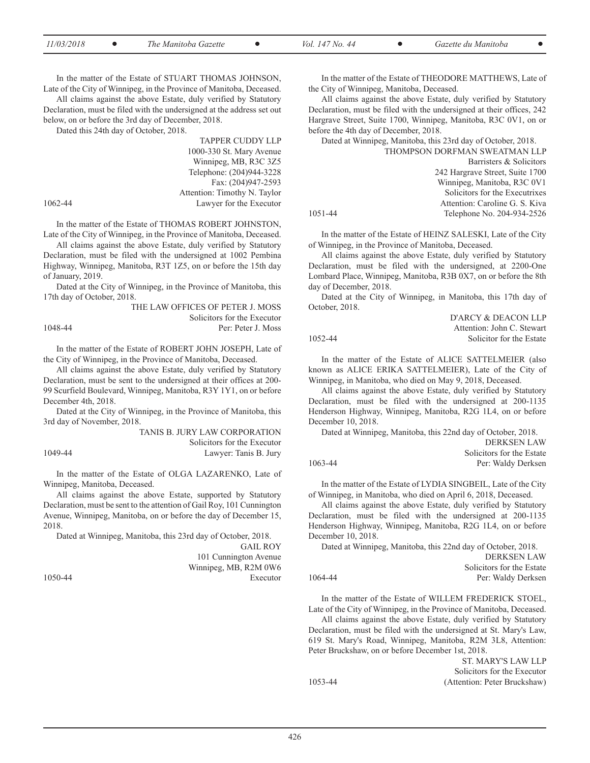| 11/03/2018<br>The Manitoba Gazette |  | <i>Vol. 147 No. 44</i> |  | Gazette du Manitoba |  |
|------------------------------------|--|------------------------|--|---------------------|--|
|------------------------------------|--|------------------------|--|---------------------|--|

In the matter of the Estate of STUART THOMAS JOHNSON, Late of the City of Winnipeg, in the Province of Manitoba, Deceased.

All claims against the above Estate, duly verified by Statutory Declaration, must be filed with the undersigned at the address set out below, on or before the 3rd day of December, 2018.

Dated this 24th day of October, 2018.

TAPPER CUDDY LLP 1000-330 St. Mary Avenue Winnipeg, MB, R3C 3Z5 Telephone: (204)944-3228 Fax: (204)947-2593 Attention: Timothy N. Taylor 1062-44 Lawyer for the Executor

In the matter of the Estate of THOMAS ROBERT JOHNSTON, Late of the City of Winnipeg, in the Province of Manitoba, Deceased.

All claims against the above Estate, duly verified by Statutory Declaration, must be filed with the undersigned at 1002 Pembina Highway, Winnipeg, Manitoba, R3T 1Z5, on or before the 15th day of January, 2019.

Dated at the City of Winnipeg, in the Province of Manitoba, this 17th day of October, 2018.

THE LAW OFFICES OF PETER J. MOSS Solicitors for the Executor 1048-44 Per: Peter J. Moss

In the matter of the Estate of ROBERT JOHN JOSEPH, Late of the City of Winnipeg, in the Province of Manitoba, Deceased.

All claims against the above Estate, duly verified by Statutory Declaration, must be sent to the undersigned at their offices at 200- 99 Scurfield Boulevard, Winnipeg, Manitoba, R3Y 1Y1, on or before December 4th, 2018.

Dated at the City of Winnipeg, in the Province of Manitoba, this 3rd day of November, 2018.

TANIS B. JURY LAW CORPORATION Solicitors for the Executor 1049-44 Lawyer: Tanis B. Jury

In the matter of the Estate of OLGA LAZARENKO, Late of Winnipeg, Manitoba, Deceased.

All claims against the above Estate, supported by Statutory Declaration, must be sent to the attention of Gail Roy, 101 Cunnington Avenue, Winnipeg, Manitoba, on or before the day of December 15, 2018.

Dated at Winnipeg, Manitoba, this 23rd day of October, 2018.

GAIL ROY 101 Cunnington Avenue Winnipeg, MB, R2M 0W6 1050-44 Executor

In the matter of the Estate of THEODORE MATTHEWS, Late of the City of Winnipeg, Manitoba, Deceased.

All claims against the above Estate, duly verified by Statutory Declaration, must be filed with the undersigned at their offices, 242 Hargrave Street, Suite 1700, Winnipeg, Manitoba, R3C 0V1, on or before the 4th day of December, 2018.

Dated at Winnipeg, Manitoba, this 23rd day of October, 2018. THOMPSON DORFMAN SWEATMAN LLP Barristers & Solicitors 242 Hargrave Street, Suite 1700 Winnipeg, Manitoba, R3C 0V1 Solicitors for the Executrixes Attention: Caroline G. S. Kiva 1051-44 Telephone No. 204-934-2526

In the matter of the Estate of HEINZ SALESKI, Late of the City of Winnipeg, in the Province of Manitoba, Deceased.

All claims against the above Estate, duly verified by Statutory Declaration, must be filed with the undersigned, at 2200-One Lombard Place, Winnipeg, Manitoba, R3B 0X7, on or before the 8th day of December, 2018.

Dated at the City of Winnipeg, in Manitoba, this 17th day of October, 2018.

|         | D'ARCY & DEACON LLP        |
|---------|----------------------------|
|         | Attention: John C. Stewart |
| 1052-44 | Solicitor for the Estate   |

In the matter of the Estate of ALICE SATTELMEIER (also known as ALICE ERIKA SATTELMEIER), Late of the City of Winnipeg, in Manitoba, who died on May 9, 2018, Deceased.

All claims against the above Estate, duly verified by Statutory Declaration, must be filed with the undersigned at 200-1135 Henderson Highway, Winnipeg, Manitoba, R2G 1L4, on or before December 10, 2018.

Dated at Winnipeg, Manitoba, this 22nd day of October, 2018.

|         | <b>DERKSEN LAW</b>        |
|---------|---------------------------|
|         | Solicitors for the Estate |
| 1063-44 | Per: Waldy Derksen        |

In the matter of the Estate of LYDIA SINGBEIL, Late of the City of Winnipeg, in Manitoba, who died on April 6, 2018, Deceased.

All claims against the above Estate, duly verified by Statutory Declaration, must be filed with the undersigned at 200-1135 Henderson Highway, Winnipeg, Manitoba, R2G 1L4, on or before December 10, 2018.

Dated at Winnipeg, Manitoba, this 22nd day of October, 2018.

|         | <b>DERKSEN LAW</b>        |
|---------|---------------------------|
|         | Solicitors for the Estate |
| 1064-44 | Per: Waldy Derksen        |

In the matter of the Estate of WILLEM FREDERICK STOEL, Late of the City of Winnipeg, in the Province of Manitoba, Deceased.

All claims against the above Estate, duly verified by Statutory Declaration, must be filed with the undersigned at St. Mary's Law, 619 St. Mary's Road, Winnipeg, Manitoba, R2M 3L8, Attention: Peter Bruckshaw, on or before December 1st, 2018.

ST. MARY'S LAW LLP Solicitors for the Executor 1053-44 (Attention: Peter Bruckshaw)